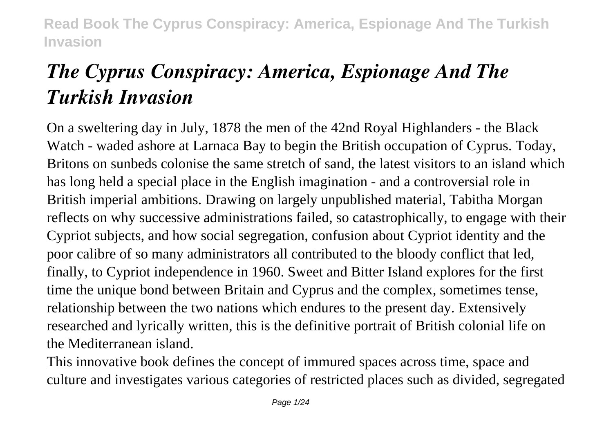# *The Cyprus Conspiracy: America, Espionage And The Turkish Invasion*

On a sweltering day in July, 1878 the men of the 42nd Royal Highlanders - the Black Watch - waded ashore at Larnaca Bay to begin the British occupation of Cyprus. Today, Britons on sunbeds colonise the same stretch of sand, the latest visitors to an island which has long held a special place in the English imagination - and a controversial role in British imperial ambitions. Drawing on largely unpublished material, Tabitha Morgan reflects on why successive administrations failed, so catastrophically, to engage with their Cypriot subjects, and how social segregation, confusion about Cypriot identity and the poor calibre of so many administrators all contributed to the bloody conflict that led, finally, to Cypriot independence in 1960. Sweet and Bitter Island explores for the first time the unique bond between Britain and Cyprus and the complex, sometimes tense, relationship between the two nations which endures to the present day. Extensively researched and lyrically written, this is the definitive portrait of British colonial life on the Mediterranean island.

This innovative book defines the concept of immured spaces across time, space and culture and investigates various categories of restricted places such as divided, segregated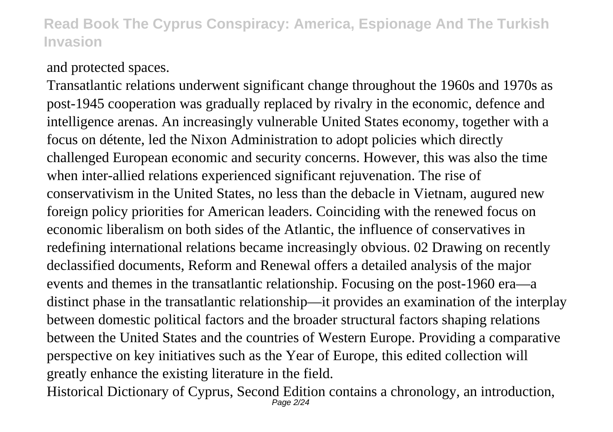#### and protected spaces.

Transatlantic relations underwent significant change throughout the 1960s and 1970s as post-1945 cooperation was gradually replaced by rivalry in the economic, defence and intelligence arenas. An increasingly vulnerable United States economy, together with a focus on détente, led the Nixon Administration to adopt policies which directly challenged European economic and security concerns. However, this was also the time when inter-allied relations experienced significant rejuvenation. The rise of conservativism in the United States, no less than the debacle in Vietnam, augured new foreign policy priorities for American leaders. Coinciding with the renewed focus on economic liberalism on both sides of the Atlantic, the influence of conservatives in redefining international relations became increasingly obvious. 02 Drawing on recently declassified documents, Reform and Renewal offers a detailed analysis of the major events and themes in the transatlantic relationship. Focusing on the post-1960 era—a distinct phase in the transatlantic relationship—it provides an examination of the interplay between domestic political factors and the broader structural factors shaping relations between the United States and the countries of Western Europe. Providing a comparative perspective on key initiatives such as the Year of Europe, this edited collection will greatly enhance the existing literature in the field.

Historical Dictionary of Cyprus, Second Edition contains a chronology, an introduction, Page 2/24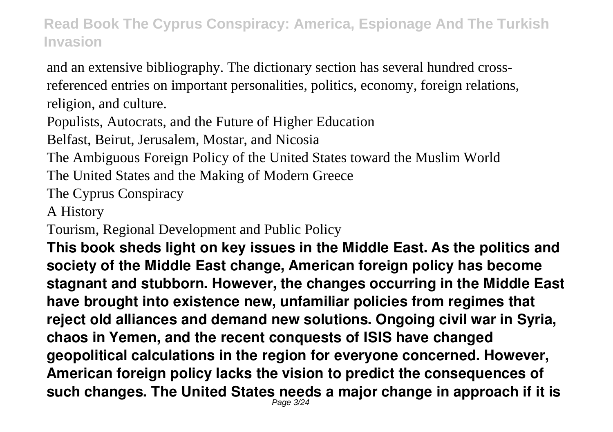and an extensive bibliography. The dictionary section has several hundred crossreferenced entries on important personalities, politics, economy, foreign relations, religion, and culture.

Populists, Autocrats, and the Future of Higher Education

Belfast, Beirut, Jerusalem, Mostar, and Nicosia

The Ambiguous Foreign Policy of the United States toward the Muslim World

The United States and the Making of Modern Greece

The Cyprus Conspiracy

A History

Tourism, Regional Development and Public Policy

**This book sheds light on key issues in the Middle East. As the politics and society of the Middle East change, American foreign policy has become stagnant and stubborn. However, the changes occurring in the Middle East have brought into existence new, unfamiliar policies from regimes that reject old alliances and demand new solutions. Ongoing civil war in Syria, chaos in Yemen, and the recent conquests of ISIS have changed geopolitical calculations in the region for everyone concerned. However, American foreign policy lacks the vision to predict the consequences of such changes. The United States needs a major change in approach if it is** Page 3/24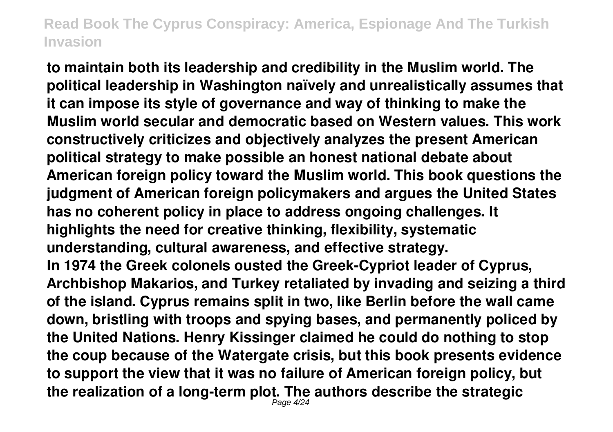**to maintain both its leadership and credibility in the Muslim world. The political leadership in Washington naïvely and unrealistically assumes that it can impose its style of governance and way of thinking to make the Muslim world secular and democratic based on Western values. This work constructively criticizes and objectively analyzes the present American political strategy to make possible an honest national debate about American foreign policy toward the Muslim world. This book questions the judgment of American foreign policymakers and argues the United States has no coherent policy in place to address ongoing challenges. It highlights the need for creative thinking, flexibility, systematic understanding, cultural awareness, and effective strategy. In 1974 the Greek colonels ousted the Greek-Cypriot leader of Cyprus, Archbishop Makarios, and Turkey retaliated by invading and seizing a third of the island. Cyprus remains split in two, like Berlin before the wall came down, bristling with troops and spying bases, and permanently policed by the United Nations. Henry Kissinger claimed he could do nothing to stop the coup because of the Watergate crisis, but this book presents evidence to support the view that it was no failure of American foreign policy, but the realization of a long-term plot. The authors describe the strategic**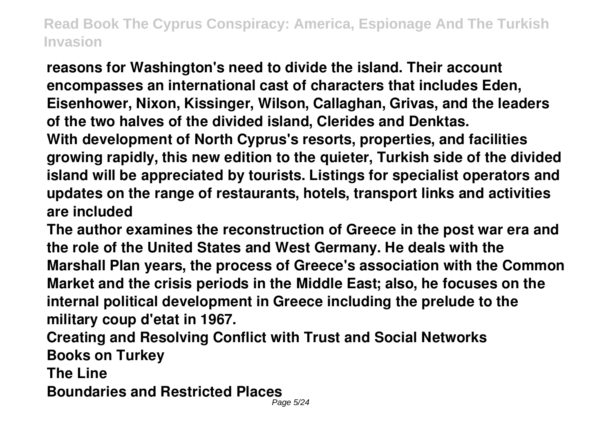**reasons for Washington's need to divide the island. Their account encompasses an international cast of characters that includes Eden, Eisenhower, Nixon, Kissinger, Wilson, Callaghan, Grivas, and the leaders of the two halves of the divided island, Clerides and Denktas. With development of North Cyprus's resorts, properties, and facilities growing rapidly, this new edition to the quieter, Turkish side of the divided island will be appreciated by tourists. Listings for specialist operators and updates on the range of restaurants, hotels, transport links and activities are included**

**The author examines the reconstruction of Greece in the post war era and the role of the United States and West Germany. He deals with the Marshall Plan years, the process of Greece's association with the Common Market and the crisis periods in the Middle East; also, he focuses on the internal political development in Greece including the prelude to the military coup d'etat in 1967.**

**Creating and Resolving Conflict with Trust and Social Networks Books on Turkey**

**The Line**

**Boundaries and Restricted Places**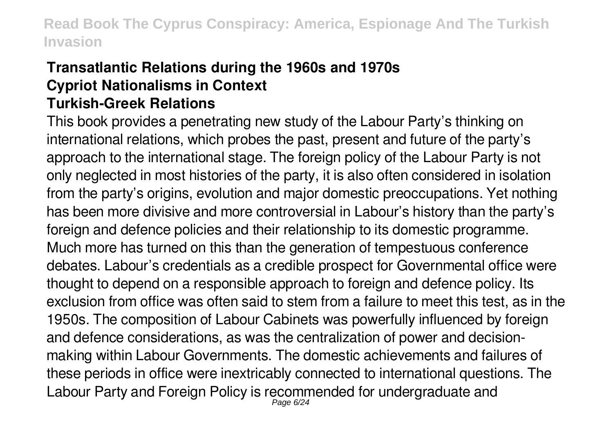#### **Transatlantic Relations during the 1960s and 1970s Cypriot Nationalisms in Context Turkish-Greek Relations**

This book provides a penetrating new study of the Labour Party's thinking on international relations, which probes the past, present and future of the party's approach to the international stage. The foreign policy of the Labour Party is not only neglected in most histories of the party, it is also often considered in isolation from the party's origins, evolution and major domestic preoccupations. Yet nothing has been more divisive and more controversial in Labour's history than the party's foreign and defence policies and their relationship to its domestic programme. Much more has turned on this than the generation of tempestuous conference debates. Labour's credentials as a credible prospect for Governmental office were thought to depend on a responsible approach to foreign and defence policy. Its exclusion from office was often said to stem from a failure to meet this test, as in the 1950s. The composition of Labour Cabinets was powerfully influenced by foreign and defence considerations, as was the centralization of power and decisionmaking within Labour Governments. The domestic achievements and failures of these periods in office were inextricably connected to international questions. The Labour Party and Foreign Policy is recommended for undergraduate and Page 6/24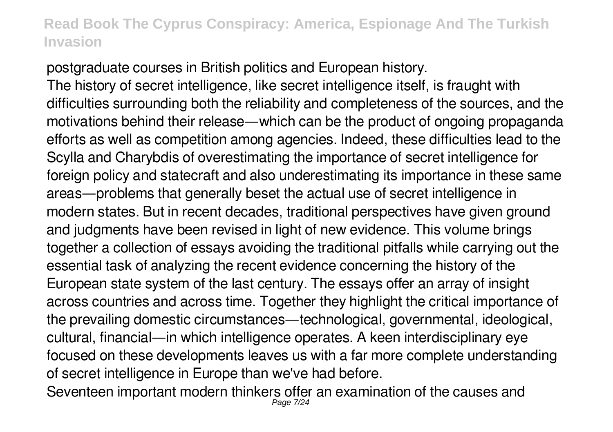postgraduate courses in British politics and European history.

The history of secret intelligence, like secret intelligence itself, is fraught with difficulties surrounding both the reliability and completeness of the sources, and the motivations behind their release—which can be the product of ongoing propaganda efforts as well as competition among agencies. Indeed, these difficulties lead to the Scylla and Charybdis of overestimating the importance of secret intelligence for foreign policy and statecraft and also underestimating its importance in these same areas—problems that generally beset the actual use of secret intelligence in modern states. But in recent decades, traditional perspectives have given ground and judgments have been revised in light of new evidence. This volume brings together a collection of essays avoiding the traditional pitfalls while carrying out the essential task of analyzing the recent evidence concerning the history of the European state system of the last century. The essays offer an array of insight across countries and across time. Together they highlight the critical importance of the prevailing domestic circumstances—technological, governmental, ideological, cultural, financial—in which intelligence operates. A keen interdisciplinary eye focused on these developments leaves us with a far more complete understanding of secret intelligence in Europe than we've had before.

Seventeen important modern thinkers offer an examination of the causes and Page 7/24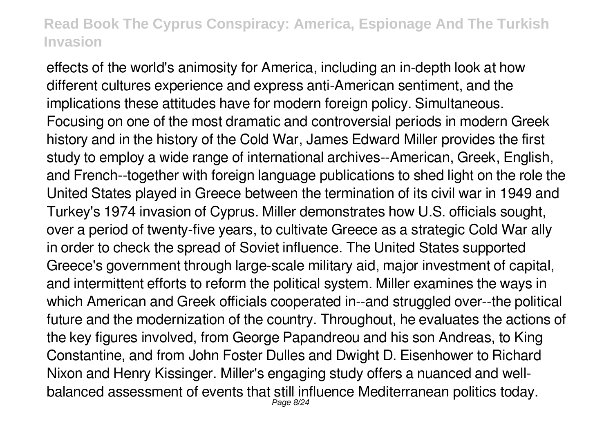effects of the world's animosity for America, including an in-depth look at how different cultures experience and express anti-American sentiment, and the implications these attitudes have for modern foreign policy. Simultaneous. Focusing on one of the most dramatic and controversial periods in modern Greek history and in the history of the Cold War, James Edward Miller provides the first study to employ a wide range of international archives--American, Greek, English, and French--together with foreign language publications to shed light on the role the United States played in Greece between the termination of its civil war in 1949 and Turkey's 1974 invasion of Cyprus. Miller demonstrates how U.S. officials sought, over a period of twenty-five years, to cultivate Greece as a strategic Cold War ally in order to check the spread of Soviet influence. The United States supported Greece's government through large-scale military aid, major investment of capital, and intermittent efforts to reform the political system. Miller examines the ways in which American and Greek officials cooperated in--and struggled over--the political future and the modernization of the country. Throughout, he evaluates the actions of the key figures involved, from George Papandreou and his son Andreas, to King Constantine, and from John Foster Dulles and Dwight D. Eisenhower to Richard Nixon and Henry Kissinger. Miller's engaging study offers a nuanced and wellbalanced assessment of events that still influence Mediterranean politics today. Page 8/24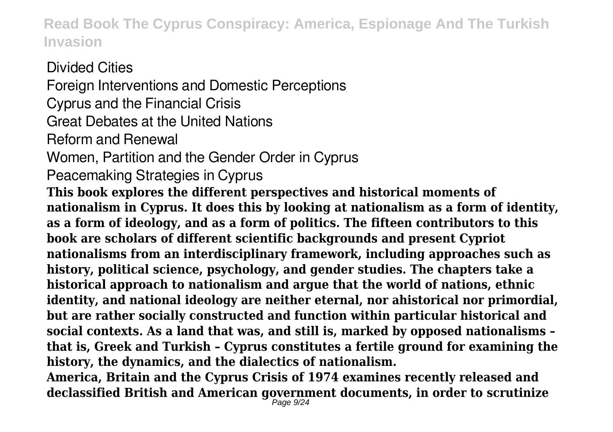Divided Cities Foreign Interventions and Domestic Perceptions Cyprus and the Financial Crisis Great Debates at the United Nations Reform and Renewal Women, Partition and the Gender Order in Cyprus Peacemaking Strategies in Cyprus **This book explores the different perspectives and historical moments of nationalism in Cyprus. It does this by looking at nationalism as a form of identity, as a form of ideology, and as a form of politics. The fifteen contributors to this book are scholars of different scientific backgrounds and present Cypriot nationalisms from an interdisciplinary framework, including approaches such as history, political science, psychology, and gender studies. The chapters take a historical approach to nationalism and argue that the world of nations, ethnic identity, and national ideology are neither eternal, nor ahistorical nor primordial, but are rather socially constructed and function within particular historical and social contexts. As a land that was, and still is, marked by opposed nationalisms – that is, Greek and Turkish – Cyprus constitutes a fertile ground for examining the history, the dynamics, and the dialectics of nationalism.**

**America, Britain and the Cyprus Crisis of 1974 examines recently released and declassified British and American government documents, in order to scrutinize**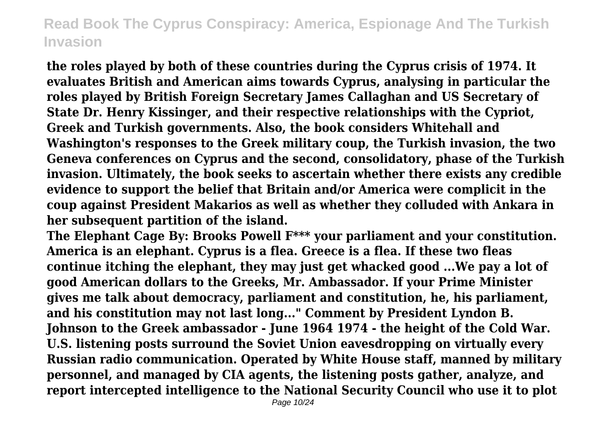**the roles played by both of these countries during the Cyprus crisis of 1974. It evaluates British and American aims towards Cyprus, analysing in particular the roles played by British Foreign Secretary James Callaghan and US Secretary of State Dr. Henry Kissinger, and their respective relationships with the Cypriot, Greek and Turkish governments. Also, the book considers Whitehall and Washington's responses to the Greek military coup, the Turkish invasion, the two Geneva conferences on Cyprus and the second, consolidatory, phase of the Turkish invasion. Ultimately, the book seeks to ascertain whether there exists any credible evidence to support the belief that Britain and/or America were complicit in the coup against President Makarios as well as whether they colluded with Ankara in her subsequent partition of the island.**

**The Elephant Cage By: Brooks Powell F\*\*\* your parliament and your constitution. America is an elephant. Cyprus is a flea. Greece is a flea. If these two fleas continue itching the elephant, they may just get whacked good ...We pay a lot of good American dollars to the Greeks, Mr. Ambassador. If your Prime Minister gives me talk about democracy, parliament and constitution, he, his parliament, and his constitution may not last long..." Comment by President Lyndon B. Johnson to the Greek ambassador - June 1964 1974 - the height of the Cold War. U.S. listening posts surround the Soviet Union eavesdropping on virtually every Russian radio communication. Operated by White House staff, manned by military personnel, and managed by CIA agents, the listening posts gather, analyze, and report intercepted intelligence to the National Security Council who use it to plot**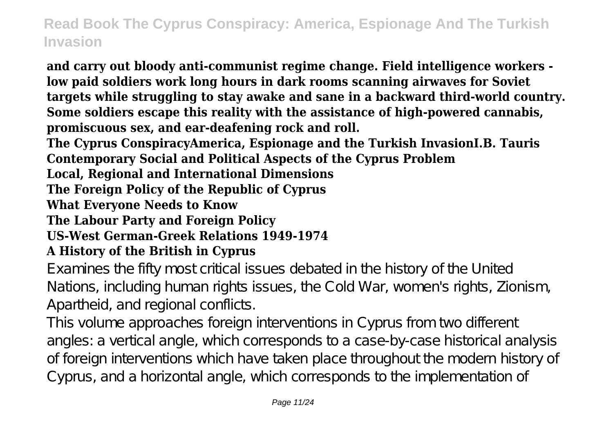**and carry out bloody anti-communist regime change. Field intelligence workers low paid soldiers work long hours in dark rooms scanning airwaves for Soviet targets while struggling to stay awake and sane in a backward third-world country. Some soldiers escape this reality with the assistance of high-powered cannabis, promiscuous sex, and ear-deafening rock and roll.**

**The Cyprus ConspiracyAmerica, Espionage and the Turkish InvasionI.B. Tauris Contemporary Social and Political Aspects of the Cyprus Problem**

**Local, Regional and International Dimensions**

**The Foreign Policy of the Republic of Cyprus**

**What Everyone Needs to Know**

**The Labour Party and Foreign Policy**

**US-West German-Greek Relations 1949-1974**

#### **A History of the British in Cyprus**

Examines the fifty most critical issues debated in the history of the United Nations, including human rights issues, the Cold War, women's rights, Zionism, Apartheid, and regional conflicts.

This volume approaches foreign interventions in Cyprus from two different angles: a vertical angle, which corresponds to a case-by-case historical analysis of foreign interventions which have taken place throughout the modern history of Cyprus, and a horizontal angle, which corresponds to the implementation of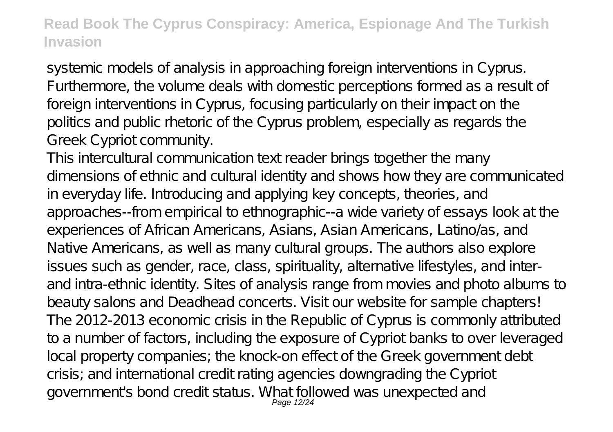systemic models of analysis in approaching foreign interventions in Cyprus. Furthermore, the volume deals with domestic perceptions formed as a result of foreign interventions in Cyprus, focusing particularly on their impact on the politics and public rhetoric of the Cyprus problem, especially as regards the Greek Cypriot community.

This intercultural communication text reader brings together the many dimensions of ethnic and cultural identity and shows how they are communicated in everyday life. Introducing and applying key concepts, theories, and approaches--from empirical to ethnographic--a wide variety of essays look at the experiences of African Americans, Asians, Asian Americans, Latino/as, and Native Americans, as well as many cultural groups. The authors also explore issues such as gender, race, class, spirituality, alternative lifestyles, and interand intra-ethnic identity. Sites of analysis range from movies and photo albums to beauty salons and Deadhead concerts. Visit our website for sample chapters! The 2012-2013 economic crisis in the Republic of Cyprus is commonly attributed to a number of factors, including the exposure of Cypriot banks to over leveraged local property companies; the knock-on effect of the Greek government debt crisis; and international credit rating agencies downgrading the Cypriot government's bond credit status. What followed was unexpected and Page 12/24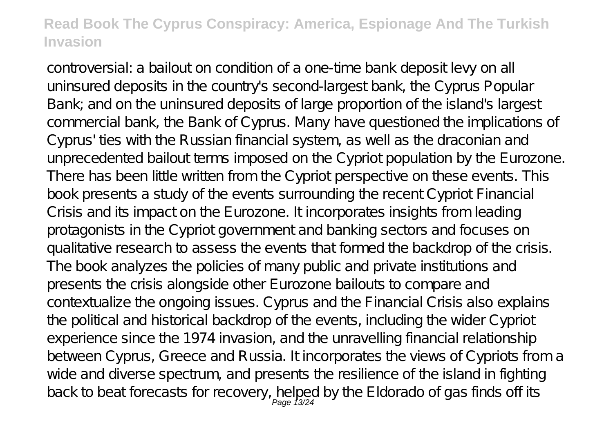controversial: a bailout on condition of a one-time bank deposit levy on all uninsured deposits in the country's second-largest bank, the Cyprus Popular Bank; and on the uninsured deposits of large proportion of the island's largest commercial bank, the Bank of Cyprus. Many have questioned the implications of Cyprus' ties with the Russian financial system, as well as the draconian and unprecedented bailout terms imposed on the Cypriot population by the Eurozone. There has been little written from the Cypriot perspective on these events. This book presents a study of the events surrounding the recent Cypriot Financial Crisis and its impact on the Eurozone. It incorporates insights from leading protagonists in the Cypriot government and banking sectors and focuses on qualitative research to assess the events that formed the backdrop of the crisis. The book analyzes the policies of many public and private institutions and presents the crisis alongside other Eurozone bailouts to compare and contextualize the ongoing issues. Cyprus and the Financial Crisis also explains the political and historical backdrop of the events, including the wider Cypriot experience since the 1974 invasion, and the unravelling financial relationship between Cyprus, Greece and Russia. It incorporates the views of Cypriots from a wide and diverse spectrum, and presents the resilience of the island in fighting back to beat forecasts for recovery, helped by the Eldorado of gas finds off its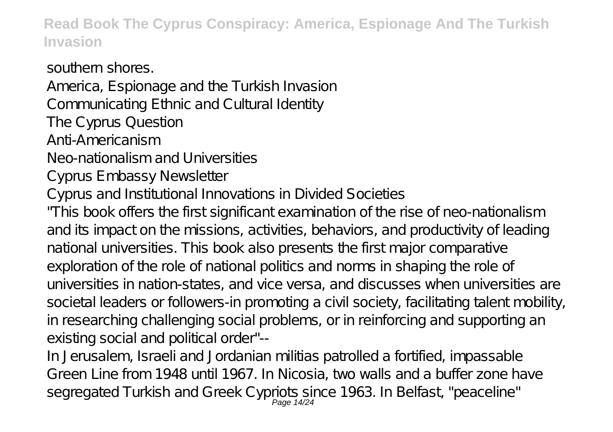southern shores. America, Espionage and the Turkish Invasion Communicating Ethnic and Cultural Identity The Cyprus Question Anti-Americanism Neo-nationalism and Universities Cyprus Embassy Newsletter Cyprus and Institutional Innovations in Divided Societies "This book offers the first significant examination of the rise of neo-nationalism and its impact on the missions, activities, behaviors, and productivity of leading national universities. This book also presents the first major comparative

exploration of the role of national politics and norms in shaping the role of universities in nation-states, and vice versa, and discusses when universities are societal leaders or followers-in promoting a civil society, facilitating talent mobility, in researching challenging social problems, or in reinforcing and supporting an existing social and political order"--

In Jerusalem, Israeli and Jordanian militias patrolled a fortified, impassable Green Line from 1948 until 1967. In Nicosia, two walls and a buffer zone have segregated Turkish and Greek Cypriots since 1963. In Belfast, "peaceline" Page 14/24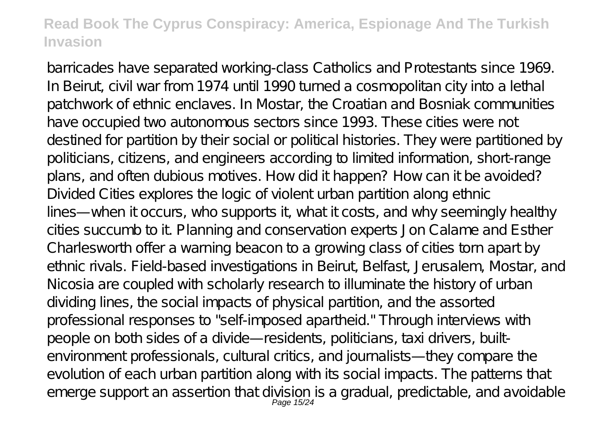barricades have separated working-class Catholics and Protestants since 1969. In Beirut, civil war from 1974 until 1990 turned a cosmopolitan city into a lethal patchwork of ethnic enclaves. In Mostar, the Croatian and Bosniak communities have occupied two autonomous sectors since 1993. These cities were not destined for partition by their social or political histories. They were partitioned by politicians, citizens, and engineers according to limited information, short-range plans, and often dubious motives. How did it happen? How can it be avoided? Divided Cities explores the logic of violent urban partition along ethnic lines—when it occurs, who supports it, what it costs, and why seemingly healthy cities succumb to it. Planning and conservation experts Jon Calame and Esther Charlesworth offer a warning beacon to a growing class of cities torn apart by ethnic rivals. Field-based investigations in Beirut, Belfast, Jerusalem, Mostar, and Nicosia are coupled with scholarly research to illuminate the history of urban dividing lines, the social impacts of physical partition, and the assorted professional responses to "self-imposed apartheid." Through interviews with people on both sides of a divide—residents, politicians, taxi drivers, builtenvironment professionals, cultural critics, and journalists—they compare the evolution of each urban partition along with its social impacts. The patterns that emerge support an assertion that division is a gradual, predictable, and avoidable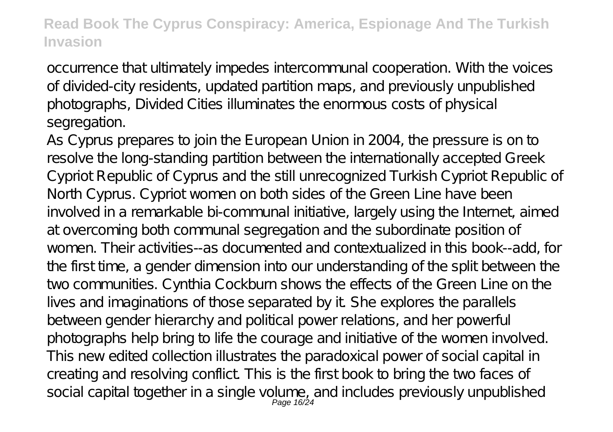occurrence that ultimately impedes intercommunal cooperation. With the voices of divided-city residents, updated partition maps, and previously unpublished photographs, Divided Cities illuminates the enormous costs of physical segregation.

As Cyprus prepares to join the European Union in 2004, the pressure is on to resolve the long-standing partition between the internationally accepted Greek Cypriot Republic of Cyprus and the still unrecognized Turkish Cypriot Republic of North Cyprus. Cypriot women on both sides of the Green Line have been involved in a remarkable bi-communal initiative, largely using the Internet, aimed at overcoming both communal segregation and the subordinate position of women. Their activities--as documented and contextualized in this book--add, for the first time, a gender dimension into our understanding of the split between the two communities. Cynthia Cockburn shows the effects of the Green Line on the lives and imaginations of those separated by it. She explores the parallels between gender hierarchy and political power relations, and her powerful photographs help bring to life the courage and initiative of the women involved. This new edited collection illustrates the paradoxical power of social capital in creating and resolving conflict. This is the first book to bring the two faces of social capital together in a single volume, and includes previously unpublished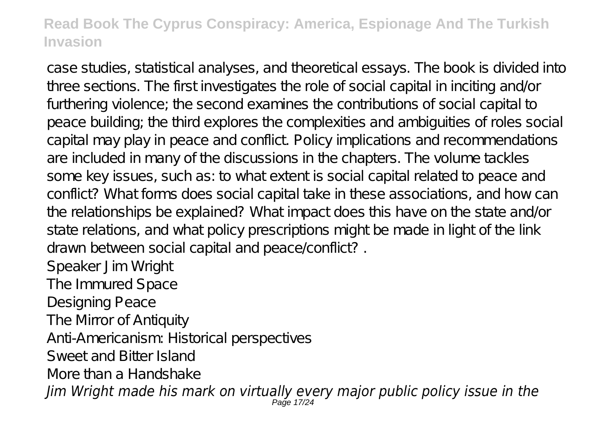case studies, statistical analyses, and theoretical essays. The book is divided into three sections. The first investigates the role of social capital in inciting and/or furthering violence; the second examines the contributions of social capital to peace building; the third explores the complexities and ambiguities of roles social capital may play in peace and conflict. Policy implications and recommendations are included in many of the discussions in the chapters. The volume tackles some key issues, such as: to what extent is social capital related to peace and conflict? What forms does social capital take in these associations, and how can the relationships be explained? What impact does this have on the state and/or state relations, and what policy prescriptions might be made in light of the link drawn between social capital and peace/conflict? .

Speaker Jim Wright

The Immured Space

Designing Peace

The Mirror of Antiquity

Anti-Americanism: Historical perspectives

Sweet and Bitter Island

More than a Handshake

*Jim Wright made his mark on virtually every major public policy issue in the* Page 17/24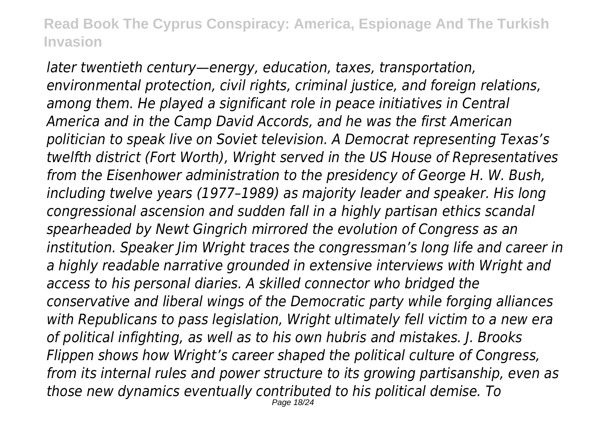*later twentieth century—energy, education, taxes, transportation, environmental protection, civil rights, criminal justice, and foreign relations, among them. He played a significant role in peace initiatives in Central America and in the Camp David Accords, and he was the first American politician to speak live on Soviet television. A Democrat representing Texas's twelfth district (Fort Worth), Wright served in the US House of Representatives from the Eisenhower administration to the presidency of George H. W. Bush, including twelve years (1977–1989) as majority leader and speaker. His long congressional ascension and sudden fall in a highly partisan ethics scandal spearheaded by Newt Gingrich mirrored the evolution of Congress as an institution. Speaker Jim Wright traces the congressman's long life and career in a highly readable narrative grounded in extensive interviews with Wright and access to his personal diaries. A skilled connector who bridged the conservative and liberal wings of the Democratic party while forging alliances with Republicans to pass legislation, Wright ultimately fell victim to a new era of political infighting, as well as to his own hubris and mistakes. J. Brooks Flippen shows how Wright's career shaped the political culture of Congress, from its internal rules and power structure to its growing partisanship, even as those new dynamics eventually contributed to his political demise. To* Page 18/24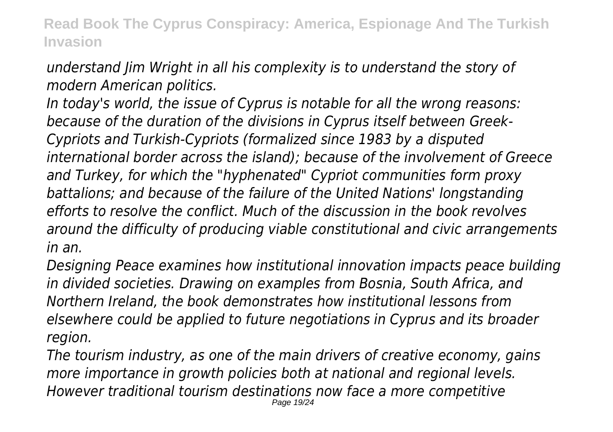# *understand Jim Wright in all his complexity is to understand the story of modern American politics.*

*In today's world, the issue of Cyprus is notable for all the wrong reasons: because of the duration of the divisions in Cyprus itself between Greek-Cypriots and Turkish-Cypriots (formalized since 1983 by a disputed international border across the island); because of the involvement of Greece and Turkey, for which the "hyphenated" Cypriot communities form proxy battalions; and because of the failure of the United Nations' longstanding efforts to resolve the conflict. Much of the discussion in the book revolves around the difficulty of producing viable constitutional and civic arrangements in an.*

*Designing Peace examines how institutional innovation impacts peace building in divided societies. Drawing on examples from Bosnia, South Africa, and Northern Ireland, the book demonstrates how institutional lessons from elsewhere could be applied to future negotiations in Cyprus and its broader region.*

*The tourism industry, as one of the main drivers of creative economy, gains more importance in growth policies both at national and regional levels. However traditional tourism destinations now face a more competitive* Page 19/24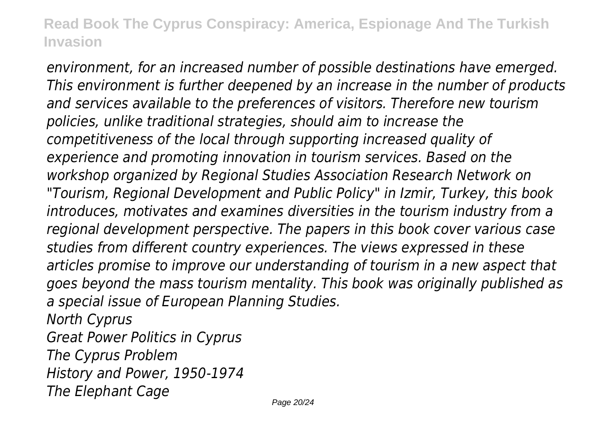*environment, for an increased number of possible destinations have emerged. This environment is further deepened by an increase in the number of products and services available to the preferences of visitors. Therefore new tourism policies, unlike traditional strategies, should aim to increase the competitiveness of the local through supporting increased quality of experience and promoting innovation in tourism services. Based on the workshop organized by Regional Studies Association Research Network on "Tourism, Regional Development and Public Policy" in Izmir, Turkey, this book introduces, motivates and examines diversities in the tourism industry from a regional development perspective. The papers in this book cover various case studies from different country experiences. The views expressed in these articles promise to improve our understanding of tourism in a new aspect that goes beyond the mass tourism mentality. This book was originally published as a special issue of European Planning Studies.*

*North Cyprus Great Power Politics in Cyprus The Cyprus Problem History and Power, 1950-1974 The Elephant Cage*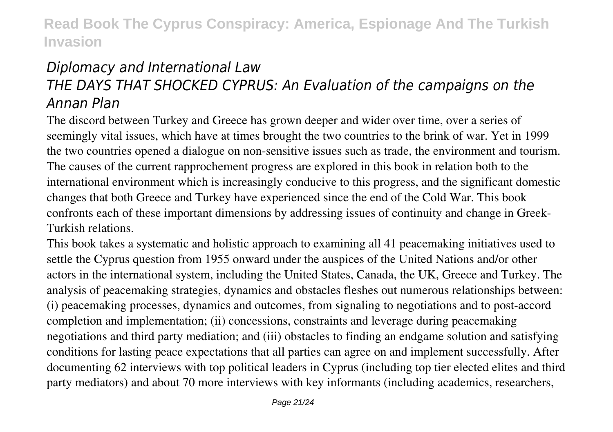# *Diplomacy and International Law THE DAYS THAT SHOCKED CYPRUS: An Evaluation of the campaigns on the Annan Plan*

The discord between Turkey and Greece has grown deeper and wider over time, over a series of seemingly vital issues, which have at times brought the two countries to the brink of war. Yet in 1999 the two countries opened a dialogue on non-sensitive issues such as trade, the environment and tourism. The causes of the current rapprochement progress are explored in this book in relation both to the international environment which is increasingly conducive to this progress, and the significant domestic changes that both Greece and Turkey have experienced since the end of the Cold War. This book confronts each of these important dimensions by addressing issues of continuity and change in Greek-Turkish relations.

This book takes a systematic and holistic approach to examining all 41 peacemaking initiatives used to settle the Cyprus question from 1955 onward under the auspices of the United Nations and/or other actors in the international system, including the United States, Canada, the UK, Greece and Turkey. The analysis of peacemaking strategies, dynamics and obstacles fleshes out numerous relationships between: (i) peacemaking processes, dynamics and outcomes, from signaling to negotiations and to post-accord completion and implementation; (ii) concessions, constraints and leverage during peacemaking negotiations and third party mediation; and (iii) obstacles to finding an endgame solution and satisfying conditions for lasting peace expectations that all parties can agree on and implement successfully. After documenting 62 interviews with top political leaders in Cyprus (including top tier elected elites and third party mediators) and about 70 more interviews with key informants (including academics, researchers,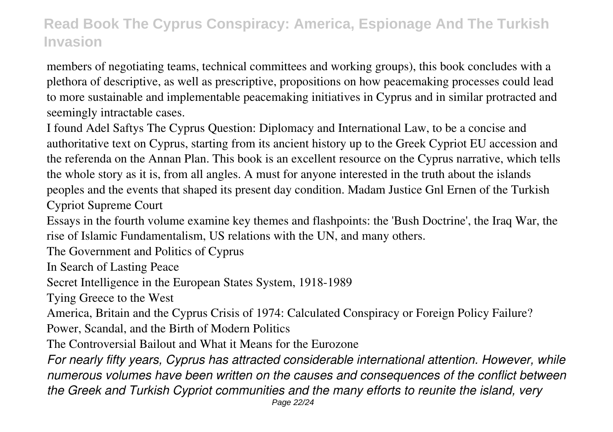members of negotiating teams, technical committees and working groups), this book concludes with a plethora of descriptive, as well as prescriptive, propositions on how peacemaking processes could lead to more sustainable and implementable peacemaking initiatives in Cyprus and in similar protracted and seemingly intractable cases.

I found Adel Saftys The Cyprus Question: Diplomacy and International Law, to be a concise and authoritative text on Cyprus, starting from its ancient history up to the Greek Cypriot EU accession and the referenda on the Annan Plan. This book is an excellent resource on the Cyprus narrative, which tells the whole story as it is, from all angles. A must for anyone interested in the truth about the islands peoples and the events that shaped its present day condition. Madam Justice Gnl Ernen of the Turkish Cypriot Supreme Court

Essays in the fourth volume examine key themes and flashpoints: the 'Bush Doctrine', the Iraq War, the rise of Islamic Fundamentalism, US relations with the UN, and many others.

The Government and Politics of Cyprus

In Search of Lasting Peace

Secret Intelligence in the European States System, 1918-1989

Tying Greece to the West

America, Britain and the Cyprus Crisis of 1974: Calculated Conspiracy or Foreign Policy Failure?

Power, Scandal, and the Birth of Modern Politics

The Controversial Bailout and What it Means for the Eurozone

*For nearly fifty years, Cyprus has attracted considerable international attention. However, while numerous volumes have been written on the causes and consequences of the conflict between the Greek and Turkish Cypriot communities and the many efforts to reunite the island, very*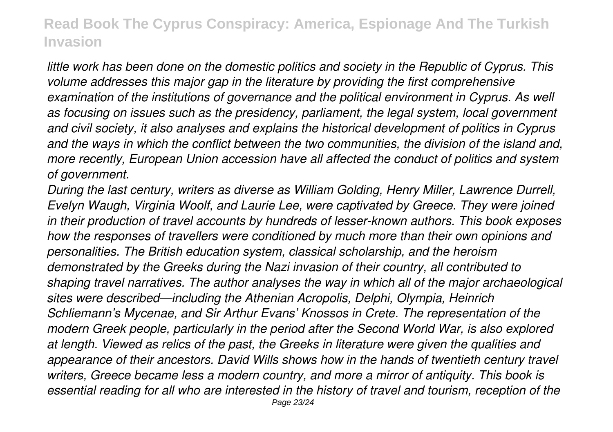*little work has been done on the domestic politics and society in the Republic of Cyprus. This volume addresses this major gap in the literature by providing the first comprehensive examination of the institutions of governance and the political environment in Cyprus. As well as focusing on issues such as the presidency, parliament, the legal system, local government and civil society, it also analyses and explains the historical development of politics in Cyprus and the ways in which the conflict between the two communities, the division of the island and, more recently, European Union accession have all affected the conduct of politics and system of government.*

*During the last century, writers as diverse as William Golding, Henry Miller, Lawrence Durrell, Evelyn Waugh, Virginia Woolf, and Laurie Lee, were captivated by Greece. They were joined in their production of travel accounts by hundreds of lesser-known authors. This book exposes how the responses of travellers were conditioned by much more than their own opinions and personalities. The British education system, classical scholarship, and the heroism demonstrated by the Greeks during the Nazi invasion of their country, all contributed to shaping travel narratives. The author analyses the way in which all of the major archaeological sites were described—including the Athenian Acropolis, Delphi, Olympia, Heinrich Schliemann's Mycenae, and Sir Arthur Evans' Knossos in Crete. The representation of the modern Greek people, particularly in the period after the Second World War, is also explored at length. Viewed as relics of the past, the Greeks in literature were given the qualities and appearance of their ancestors. David Wills shows how in the hands of twentieth century travel writers, Greece became less a modern country, and more a mirror of antiquity. This book is essential reading for all who are interested in the history of travel and tourism, reception of the* Page 23/24